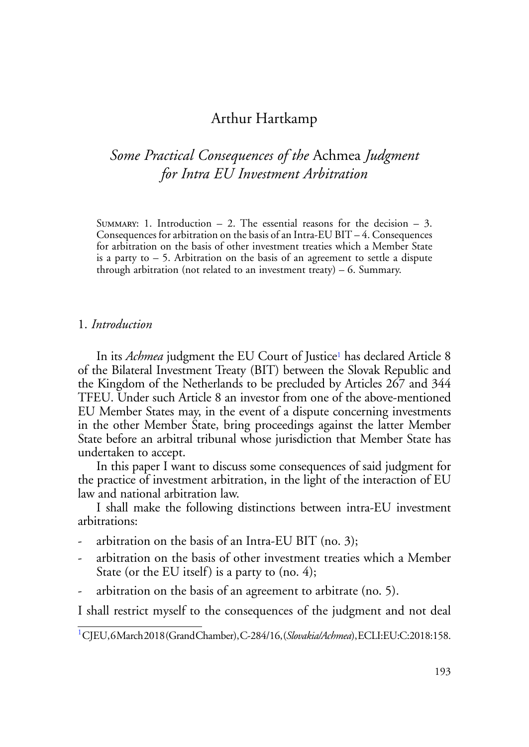## Arthur Hartkamp

# *Some Practical Consequences of the* Achmea *Judgment for Intra EU Investment Arbitration*

SUMMARY: 1. Introduction  $-2$ . The essential reasons for the decision  $-3$ . Consequences for arbitration on the basis of an Intra-EU BIT – 4. Consequences for arbitration on the basis of other investment treaties which a Member State is a party to  $-5$ . Arbitration on the basis of an agreement to settle a dispute through arbitration (not related to an investment treaty)  $-6$ . Summary.

#### 1. *Introduction*

In its *Achmea* judgment the EU Court of Justice<sup>1</sup> has declared Article 8 of the Bilateral Investment Treaty (BIT) between the Slovak Republic and the Kingdom of the Netherlands to be precluded by Articles 267 and 344 TFEU. Under such Article 8 an investor from one of the above-mentioned EU Member States may, in the event of a dispute concerning investments in the other Member State, bring proceedings against the latter Member State before an arbitral tribunal whose jurisdiction that Member State has undertaken to accept.

In this paper I want to discuss some consequences of said judgment for the practice of investment arbitration, in the light of the interaction of EU law and national arbitration law.

I shall make the following distinctions between intra-EU investment arbitrations:

- arbitration on the basis of an Intra-EU BIT (no. 3);
- arbitration on the basis of other investment treaties which a Member State (or the EU itself) is a party to (no. 4);
- arbitration on the basis of an agreement to arbitrate (no. 5).

I shall restrict myself to the consequences of the judgment and not deal

<sup>1</sup> CJEU, 6 March 2018 (Grand Chamber), C-284/16, (*Slovakia/Achmea*), ECLI:EU:C:2018:158.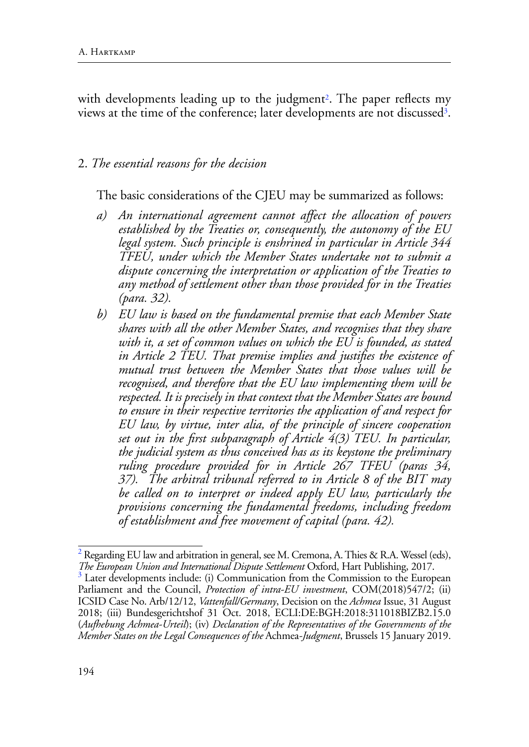with developments leading up to the judgment<sup>2</sup>. The paper reflects my views at the time of the conference; later developments are not discussed<sup>3</sup>.

### 2. *The essential reasons for the decision*

The basic considerations of the CJEU may be summarized as follows:

- *a) An international agreement cannot affect the allocation of powers established by the Treaties or, consequently, the autonomy of the EU legal system. Such principle is enshrined in particular in Article 344 TFEU, under which the Member States undertake not to submit a dispute concerning the interpretation or application of the Treaties to any method of settlement other than those provided for in the Treaties (para. 32).*
- *b) EU law is based on the fundamental premise that each Member State shares with all the other Member States, and recognises that they share with it, a set of common values on which the EU is founded, as stated in Article 2 TEU. That premise implies and justifies the existence of mutual trust between the Member States that those values will be recognised, and therefore that the EU law implementing them will be respected. It is precisely in that context that the Member States are bound to ensure in their respective territories the application of and respect for EU law, by virtue, inter alia, of the principle of sincere cooperation set out in the first subparagraph of Article 4(3) TEU. In particular, the judicial system as thus conceived has as its keystone the preliminary ruling procedure provided for in Article 267 TFEU (paras 34, 37). The arbitral tribunal referred to in Article 8 of the BIT may be called on to interpret or indeed apply EU law, particularly the provisions concerning the fundamental freedoms, including freedom of establishment and free movement of capital (para. 42).*

 $^2$  Regarding EU law and arbitration in general, see M. Cremona, A. Thies & R.A. Wessel (eds), *The European Union and International Dispute Settlement* Oxford, Hart Publishing, 2017.

Later developments include: (i) Communication from the Commission to the European Parliament and the Council, *Protection of intra-EU investment*, COM(2018)547/2; (ii) ICSID Case No. Arb/12/12, *Vattenfall/Germany*, Decision on the *Achmea* Issue, 31 August 2018; (iii) Bundesgerichtshof 31 Oct. 2018, ECLI:DE:BGH:2018:311018BIZB2.15.0 (*Aufhebung Achmea-Urteil*); (iv) *Declaration of the Representatives of the Governments of the Member States on the Legal Consequences of the* Achmea*-Judgment*, Brussels 15 January 2019.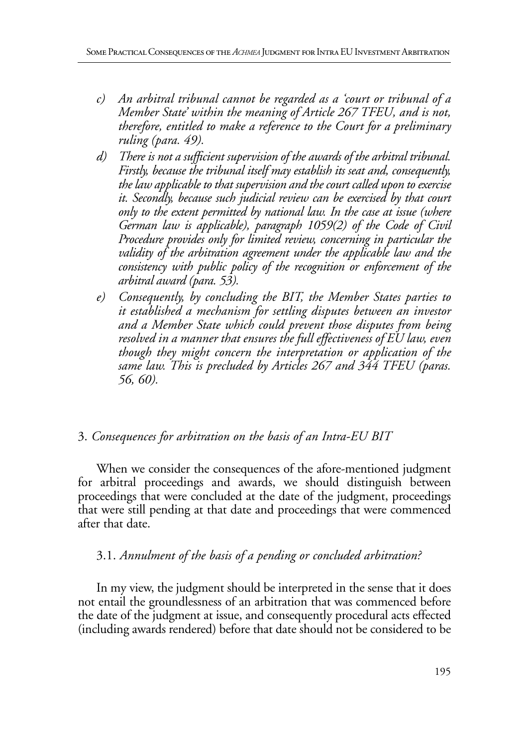- *c) An arbitral tribunal cannot be regarded as a 'court or tribunal of a Member State' within the meaning of Article 267 TFEU, and is not, therefore, entitled to make a reference to the Court for a preliminary ruling (para. 49).*
- *d) There is not a sufficient supervision of the awards of the arbitral tribunal. Firstly, because the tribunal itself may establish its seat and, consequently, the law applicable to that supervision and the court called upon to exercise it. Secondly, because such judicial review can be exercised by that court only to the extent permitted by national law. In the case at issue (where German law is applicable), paragraph 1059(2) of the Code of Civil Procedure provides only for limited review, concerning in particular the validity of the arbitration agreement under the applicable law and the consistency with public policy of the recognition or enforcement of the arbitral award (para. 53).*
- *e) Consequently, by concluding the BIT, the Member States parties to it established a mechanism for settling disputes between an investor and a Member State which could prevent those disputes from being resolved in a manner that ensures the full effectiveness of EU law, even though they might concern the interpretation or application of the same law. This is precluded by Articles 267 and 344 TFEU (paras. 56, 60).*

### 3. *Consequences for arbitration on the basis of an Intra-EU BIT*

When we consider the consequences of the afore-mentioned judgment for arbitral proceedings and awards, we should distinguish between proceedings that were concluded at the date of the judgment, proceedings that were still pending at that date and proceedings that were commenced after that date.

### 3.1. *Annulment of the basis of a pending or concluded arbitration?*

In my view, the judgment should be interpreted in the sense that it does not entail the groundlessness of an arbitration that was commenced before the date of the judgment at issue, and consequently procedural acts effected (including awards rendered) before that date should not be considered to be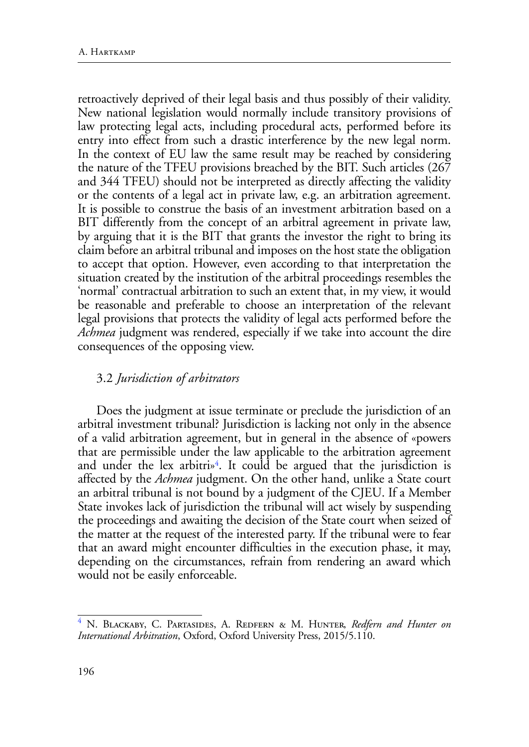retroactively deprived of their legal basis and thus possibly of their validity. New national legislation would normally include transitory provisions of law protecting legal acts, including procedural acts, performed before its entry into effect from such a drastic interference by the new legal norm. In the context of EU law the same result may be reached by considering the nature of the TFEU provisions breached by the BIT. Such articles (267 and 344 TFEU) should not be interpreted as directly affecting the validity or the contents of a legal act in private law, e.g. an arbitration agreement. It is possible to construe the basis of an investment arbitration based on a BIT differently from the concept of an arbitral agreement in private law, by arguing that it is the BIT that grants the investor the right to bring its claim before an arbitral tribunal and imposes on the host state the obligation to accept that option. However, even according to that interpretation the situation created by the institution of the arbitral proceedings resembles the 'normal' contractual arbitration to such an extent that, in my view, it would be reasonable and preferable to choose an interpretation of the relevant legal provisions that protects the validity of legal acts performed before the *Achmea* judgment was rendered, especially if we take into account the dire consequences of the opposing view.

### 3.2 *Jurisdiction of arbitrators*

Does the judgment at issue terminate or preclude the jurisdiction of an arbitral investment tribunal? Jurisdiction is lacking not only in the absence of a valid arbitration agreement, but in general in the absence of «powers that are permissible under the law applicable to the arbitration agreement and under the lex arbitri $\mathbf{v}^4$ . It could be argued that the jurisdiction is affected by the *Achmea* judgment. On the other hand, unlike a State court an arbitral tribunal is not bound by a judgment of the CJEU. If a Member State invokes lack of jurisdiction the tribunal will act wisely by suspending the proceedings and awaiting the decision of the State court when seized of the matter at the request of the interested party. If the tribunal were to fear that an award might encounter difficulties in the execution phase, it may, depending on the circumstances, refrain from rendering an award which would not be easily enforceable.

<sup>&</sup>lt;sup>4</sup> N. Blackaby, C. Partasides, A. Redfern & M. Hunter, *Redfern and Hunter on International Arbitration*, Oxford, Oxford University Press, 2015/5.110.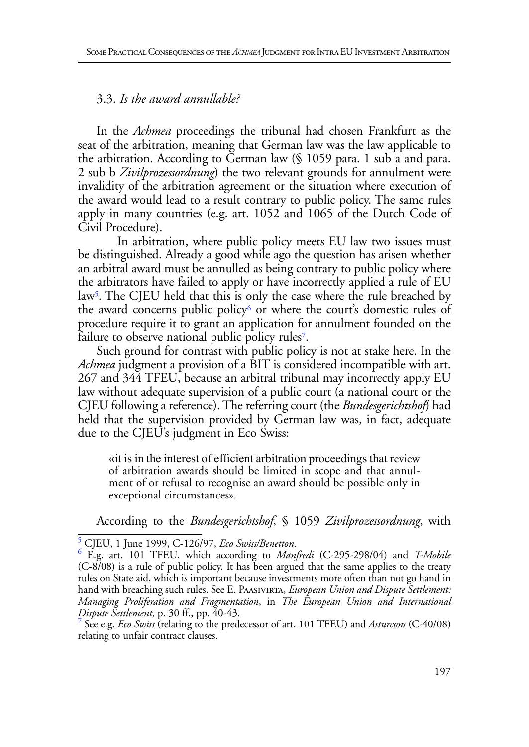### 3.3. *Is the award annullable?*

In the *Achmea* proceedings the tribunal had chosen Frankfurt as the seat of the arbitration, meaning that German law was the law applicable to the arbitration. According to German law (§ 1059 para. 1 sub a and para. 2 sub b *Zivilprozessordnung*) the two relevant grounds for annulment were invalidity of the arbitration agreement or the situation where execution of the award would lead to a result contrary to public policy. The same rules apply in many countries (e.g. art. 1052 and 1065 of the Dutch Code of Civil Procedure).

In arbitration, where public policy meets EU law two issues must be distinguished. Already a good while ago the question has arisen whether an arbitral award must be annulled as being contrary to public policy where the arbitrators have failed to apply or have incorrectly applied a rule of EU law<sup>5</sup>. The CJEU held that this is only the case where the rule breached by the award concerns public policy<sup>6</sup> or where the court's domestic rules of procedure require it to grant an application for annulment founded on the failure to observe national public policy rules<sup>7</sup>.

Such ground for contrast with public policy is not at stake here. In the *Achmea* judgment a provision of a BIT is considered incompatible with art. 267 and 344 TFEU, because an arbitral tribunal may incorrectly apply EU law without adequate supervision of a public court (a national court or the CJEU following a reference). The referring court (the *Bundesgerichtshof*) had held that the supervision provided by German law was, in fact, adequate due to the CJEU's judgment in Eco Swiss:

«it is in the interest of efficient arbitration proceedings that review of arbitration awards should be limited in scope and that annulment of or refusal to recognise an award should be possible only in exceptional circumstances».

According to the *Bundesgerichtshof*, § 1059 *Zivilprozessordnung*, with

<sup>5</sup> CJEU, 1 June 1999, C-126/97, *Eco Swiss/Benetton*. <sup>6</sup>

E.g. art. 101 TFEU, which according to *Manfredi* (C-295-298/04) and *T-Mobile*  (C-8/08) is a rule of public policy. It has been argued that the same applies to the treaty rules on State aid, which is important because investments more often than not go hand in hand with breaching such rules. See E. Paasivirta, *European Union and Dispute Settlement*: *Managing Proliferation and Fragmentation*, in *The European Union and International Dispute Settlement*, p. 30 ff., pp. 40-43.

See e.g. *Eco Swiss* (relating to the predecessor of art. 101 TFEU) and *Asturcom* (C-40/08) relating to unfair contract clauses.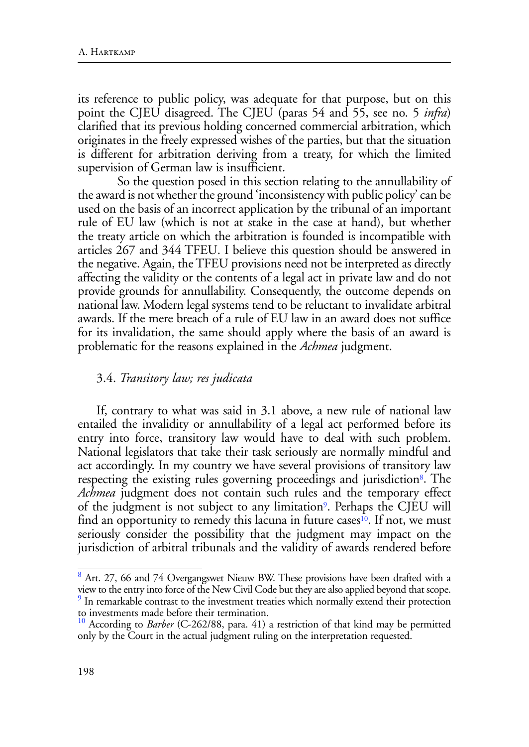its reference to public policy, was adequate for that purpose, but on this point the CJEU disagreed. The CJEU (paras 54 and 55, see no. 5 *infra*) clarified that its previous holding concerned commercial arbitration, which originates in the freely expressed wishes of the parties, but that the situation is different for arbitration deriving from a treaty, for which the limited supervision of German law is insufficient.

So the question posed in this section relating to the annullability of the award is not whether the ground 'inconsistency with public policy' can be used on the basis of an incorrect application by the tribunal of an important rule of EU law (which is not at stake in the case at hand), but whether the treaty article on which the arbitration is founded is incompatible with articles 267 and 344 TFEU. I believe this question should be answered in the negative. Again, the TFEU provisions need not be interpreted as directly affecting the validity or the contents of a legal act in private law and do not provide grounds for annullability. Consequently, the outcome depends on national law. Modern legal systems tend to be reluctant to invalidate arbitral awards. If the mere breach of a rule of EU law in an award does not suffice for its invalidation, the same should apply where the basis of an award is problematic for the reasons explained in the *Achmea* judgment.

#### 3.4. *Transitory law; res judicata*

If, contrary to what was said in 3.1 above, a new rule of national law entailed the invalidity or annullability of a legal act performed before its entry into force, transitory law would have to deal with such problem. National legislators that take their task seriously are normally mindful and act accordingly. In my country we have several provisions of transitory law respecting the existing rules governing proceedings and jurisdiction<sup>8</sup>. The *Achmea* judgment does not contain such rules and the temporary effect of the judgment is not subject to any limitation<sup>9</sup>. Perhaps the CJEU will find an opportunity to remedy this lacuna in future cases<sup>10</sup>. If not, we must seriously consider the possibility that the judgment may impact on the jurisdiction of arbitral tribunals and the validity of awards rendered before

<sup>&</sup>lt;sup>8</sup> Art. 27, 66 and 74 Overgangswet Nieuw BW. These provisions have been drafted with a view to the entry into force of the New Civil Code but they are also applied beyond that scope. <sup>9</sup> In remarkable contrast to the investment treaties which normally extend their protection to investments made before their termination.

<sup>&</sup>lt;sup>10</sup> According to *Barber* (C-262/88, para. 41) a restriction of that kind may be permitted only by the Court in the actual judgment ruling on the interpretation requested.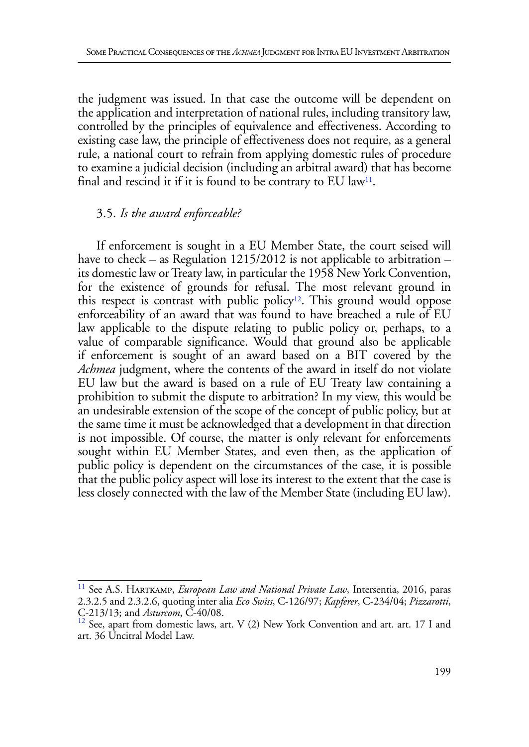the judgment was issued. In that case the outcome will be dependent on the application and interpretation of national rules, including transitory law, controlled by the principles of equivalence and effectiveness. According to existing case law, the principle of effectiveness does not require, as a general rule, a national court to refrain from applying domestic rules of procedure to examine a judicial decision (including an arbitral award) that has become final and rescind it if it is found to be contrary to EU law<sup>11</sup>.

### 3.5. *Is the award enforceable?*

If enforcement is sought in a EU Member State, the court seised will have to check – as Regulation 1215/2012 is not applicable to arbitration – its domestic law or Treaty law, in particular the 1958 New York Convention, for the existence of grounds for refusal. The most relevant ground in this respect is contrast with public policy<sup>12</sup>. This ground would oppose enforceability of an award that was found to have breached a rule of EU law applicable to the dispute relating to public policy or, perhaps, to a value of comparable significance. Would that ground also be applicable if enforcement is sought of an award based on a BIT covered by the *Achmea* judgment, where the contents of the award in itself do not violate EU law but the award is based on a rule of EU Treaty law containing a prohibition to submit the dispute to arbitration? In my view, this would be an undesirable extension of the scope of the concept of public policy, but at the same time it must be acknowledged that a development in that direction is not impossible. Of course, the matter is only relevant for enforcements sought within EU Member States, and even then, as the application of public policy is dependent on the circumstances of the case, it is possible that the public policy aspect will lose its interest to the extent that the case is less closely connected with the law of the Member State (including EU law).

<sup>&</sup>lt;sup>11</sup> See A.S. HARTKAMP, *European Law and National Private Law*, Intersentia, 2016, paras 2.3.2.5 and 2.3.2.6, quoting inter alia *Eco Swiss*, C-126/97; *Kapferer*, C-234/04; *Pizzarotti*, C-213/13; and *Asturcom*, C-40/08.<br><sup>12</sup> See, apart from domestic laws, art. V (2) New York Convention and art. art. 17 I and

art. 36 Uncitral Model Law.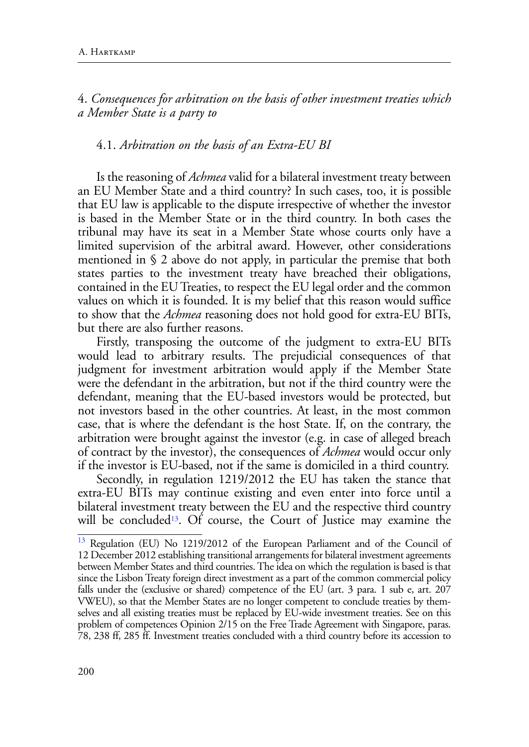4. *Consequences for arbitration on the basis of other investment treaties which a Member State is a party to*

#### 4.1. *Arbitration on the basis of an Extra-EU BI*

Is the reasoning of *Achmea* valid for a bilateral investment treaty between an EU Member State and a third country? In such cases, too, it is possible that EU law is applicable to the dispute irrespective of whether the investor is based in the Member State or in the third country. In both cases the tribunal may have its seat in a Member State whose courts only have a limited supervision of the arbitral award. However, other considerations mentioned in § 2 above do not apply, in particular the premise that both states parties to the investment treaty have breached their obligations, contained in the EU Treaties, to respect the EU legal order and the common values on which it is founded. It is my belief that this reason would suffice to show that the *Achmea* reasoning does not hold good for extra-EU BITs, but there are also further reasons.

Firstly, transposing the outcome of the judgment to extra-EU BITs would lead to arbitrary results. The prejudicial consequences of that judgment for investment arbitration would apply if the Member State were the defendant in the arbitration, but not if the third country were the defendant, meaning that the EU-based investors would be protected, but not investors based in the other countries. At least, in the most common case, that is where the defendant is the host State. If, on the contrary, the arbitration were brought against the investor (e.g. in case of alleged breach of contract by the investor), the consequences of *Achmea* would occur only if the investor is EU-based, not if the same is domiciled in a third country.

Secondly, in regulation 1219/2012 the EU has taken the stance that extra-EU BITs may continue existing and even enter into force until a bilateral investment treaty between the EU and the respective third country will be concluded<sup>13</sup>. Of course, the Court of Justice may examine the

Regulation (EU) No 1219/2012 of the European Parliament and of the Council of 12 December 2012 establishing transitional arrangements for bilateral investment agreements between Member States and third countries. The idea on which the regulation is based is that since the Lisbon Treaty foreign direct investment as a part of the common commercial policy falls under the (exclusive or shared) competence of the EU (art. 3 para. 1 sub e, art. 207 VWEU), so that the Member States are no longer competent to conclude treaties by themselves and all existing treaties must be replaced by EU-wide investment treaties. See on this problem of competences Opinion 2/15 on the Free Trade Agreement with Singapore, paras. 78, 238 ff, 285 ff. Investment treaties concluded with a third country before its accession to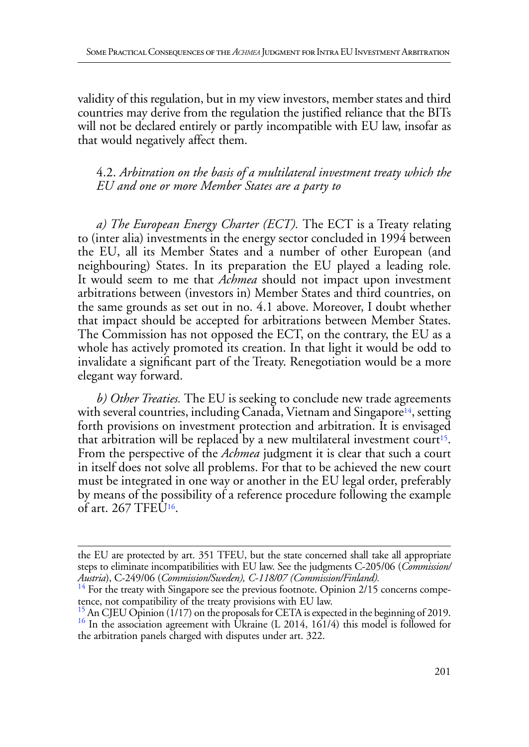validity of this regulation, but in my view investors, member states and third countries may derive from the regulation the justified reliance that the BITs will not be declared entirely or partly incompatible with EU law, insofar as that would negatively affect them.

4.2. *Arbitration on the basis of a multilateral investment treaty which the EU and one or more Member States are a party to*

*a) The European Energy Charter (ECT).* The ECT is a Treaty relating to (inter alia) investments in the energy sector concluded in 1994 between the EU, all its Member States and a number of other European (and neighbouring) States. In its preparation the EU played a leading role. It would seem to me that *Achmea* should not impact upon investment arbitrations between (investors in) Member States and third countries, on the same grounds as set out in no. 4.1 above. Moreover, I doubt whether that impact should be accepted for arbitrations between Member States. The Commission has not opposed the ECT, on the contrary, the EU as a whole has actively promoted its creation. In that light it would be odd to invalidate a significant part of the Treaty. Renegotiation would be a more elegant way forward.

*b) Other Treaties.* The EU is seeking to conclude new trade agreements with several countries, including Canada, Vietnam and Singapore<sup>14</sup>, setting forth provisions on investment protection and arbitration. It is envisaged that arbitration will be replaced by a new multilateral investment court<sup>15</sup>. From the perspective of the *Achmea* judgment it is clear that such a court in itself does not solve all problems. For that to be achieved the new court must be integrated in one way or another in the EU legal order, preferably by means of the possibility of a reference procedure following the example of art. 267 TFEU16.

the EU are protected by art. 351 TFEU, but the state concerned shall take all appropriate steps to eliminate incompatibilities with EU law. See the judgments C-205/06 (*Commission/ Austria*), C-249/06 (*Commission/Sweden), C-118/07 (Commission/Finland).* 14 For the treaty with Singapore see the previous footnote. Opinion 2/15 concerns compe-

tence, not compatibility of the treaty provisions with EU law.

<sup>&</sup>lt;sup>15</sup> An CJEU Opinion (1/17) on the proposals for CETA is expected in the beginning of 2019.<br><sup>16</sup> In the association agreement with Ukraine (L 2014, 161/4) this model is followed for the arbitration panels charged with disputes under art. 322.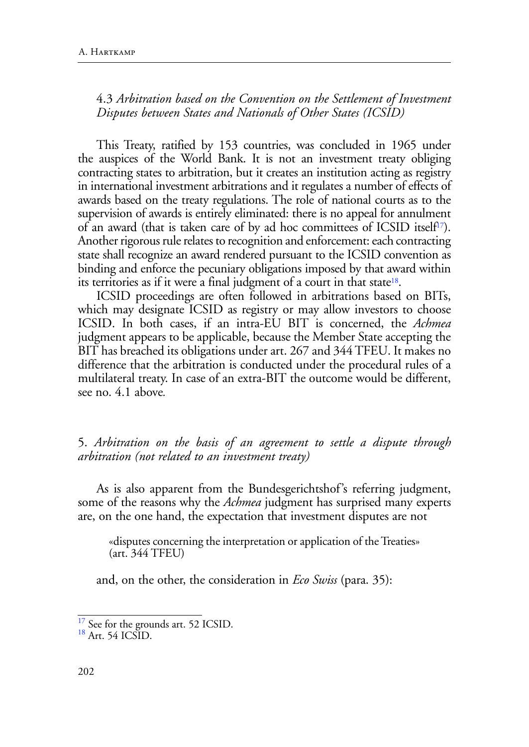4.3 *Arbitration based on the Convention on the Settlement of Investment Disputes between States and Nationals of Other States (ICSID)*

This Treaty, ratified by 153 countries, was concluded in 1965 under the auspices of the World Bank. It is not an investment treaty obliging contracting states to arbitration, but it creates an institution acting as registry in international investment arbitrations and it regulates a number of effects of awards based on the treaty regulations. The role of national courts as to the supervision of awards is entirely eliminated: there is no appeal for annulment of an award (that is taken care of by ad hoc committees of ICSID itself<sup>17</sup>). Another rigorous rule relates to recognition and enforcement: each contracting state shall recognize an award rendered pursuant to the ICSID convention as binding and enforce the pecuniary obligations imposed by that award within its territories as if it were a final judgment of a court in that state<sup>18</sup>.

ICSID proceedings are often followed in arbitrations based on BITs, which may designate ICSID as registry or may allow investors to choose ICSID. In both cases, if an intra-EU BIT is concerned, the *Achmea*  judgment appears to be applicable, because the Member State accepting the BIT has breached its obligations under art. 267 and 344 TFEU. It makes no difference that the arbitration is conducted under the procedural rules of a multilateral treaty. In case of an extra-BIT the outcome would be different, see no. 4.1 above*.* 

5. *Arbitration on the basis of an agreement to settle a dispute through arbitration (not related to an investment treaty)*

As is also apparent from the Bundesgerichtshof's referring judgment, some of the reasons why the *Achmea* judgment has surprised many experts are, on the one hand, the expectation that investment disputes are not

«disputes concerning the interpretation or application of the Treaties» (art. 344 TFEU)

and, on the other, the consideration in *Eco Swiss* (para. 35):

 $\frac{17}{18}$  See for the grounds art. 52 ICSID.<br> $\frac{18}{18}$  Art. 54 ICSID.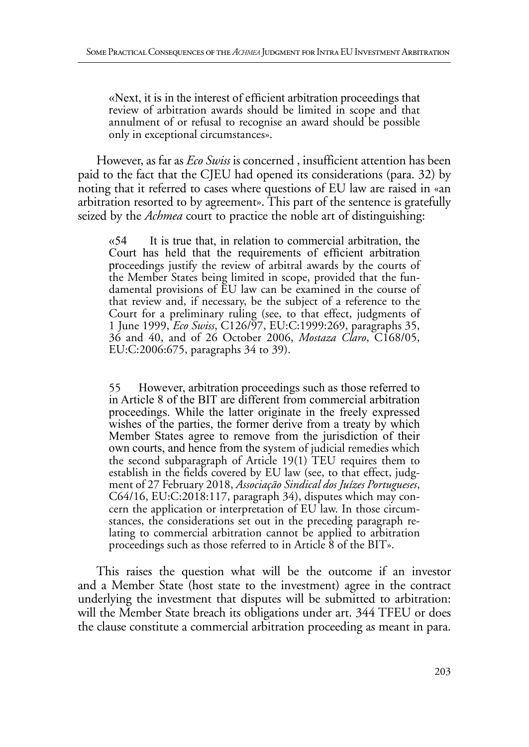«Next, it is in the interest of efficient arbitration proceedings that review of arbitration awards should be limited in scope and that annulment of or refusal to recognise an award should be possible only in exceptional circumstances».

However, as far as *Eco Swiss* is concerned , insufficient attention has been paid to the fact that the CJEU had opened its considerations (para. 32) by noting that it referred to cases where questions of EU law are raised in «an arbitration resorted to by agreement». This part of the sentence is gratefully seized by the *Achmea* court to practice the noble art of distinguishing:

 $\kappa$  54 It is true that, in relation to commercial arbitration, the Court has held that the requirements of efficient arbitration proceedings justify the review of arbitral awards by the courts of the Member States being limited in scope, provided that the fundamental provisions of EU law can be examined in the course of that review and, if necessary, be the subject of a reference to the Court for a preliminary ruling (see, to that effect, judgments of 1 June 1999, *Eco Swiss*, C126/97, EU:C:1999:269, paragraphs 35, 36 and 40, and of 26 October 2006, *Mostaza Claro*, C168/05, EU:C:2006:675, paragraphs 34 to 39).

55 However, arbitration proceedings such as those referred to in Article 8 of the BIT are different from commercial arbitration proceedings. While the latter originate in the freely expressed wishes of the parties, the former derive from a treaty by which Member States agree to remove from the jurisdiction of their own courts, and hence from the system of judicial remedies which the second subparagraph of Article 19(1) TEU requires them to establish in the fields covered by EU law (see, to that effect, judgment of 27 February 2018, *Associação Sindical dos Juízes Portugueses*, C64/16, EU:C:2018:117, paragraph 34), disputes which may concern the application or interpretation of EU law. In those circumstances, the considerations set out in the preceding paragraph relating to commercial arbitration cannot be applied to arbitration proceedings such as those referred to in Article 8 of the BIT».

This raises the question what will be the outcome if an investor and a Member State (host state to the investment) agree in the contract underlying the investment that disputes will be submitted to arbitration: will the Member State breach its obligations under art. 344 TFEU or does the clause constitute a commercial arbitration proceeding as meant in para.